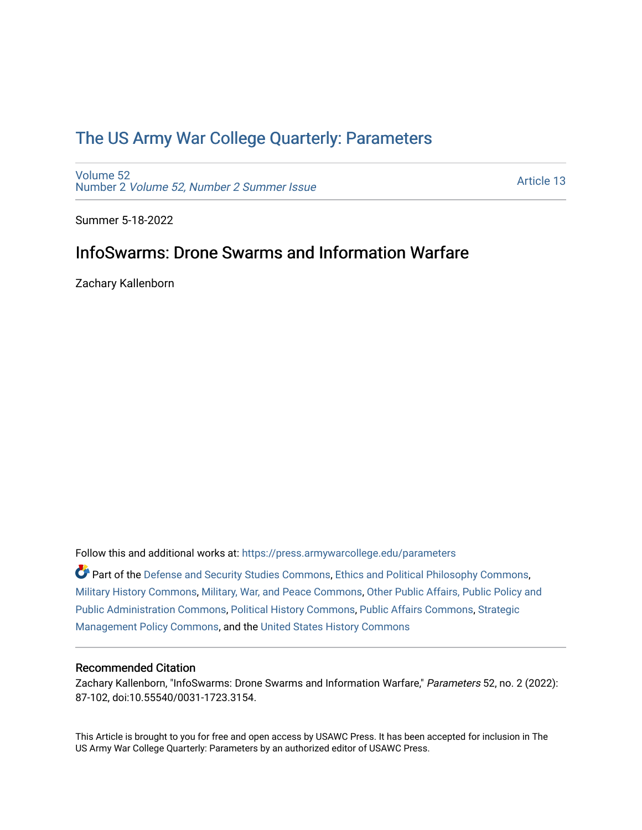# [The US Army War College Quarterly: Parameters](https://press.armywarcollege.edu/parameters)

[Volume 52](https://press.armywarcollege.edu/parameters/vol52) Number 2 [Volume 52, Number 2 Summer Issue](https://press.armywarcollege.edu/parameters/vol52/iss2)

[Article 13](https://press.armywarcollege.edu/parameters/vol52/iss2/13) 

Summer 5-18-2022

# InfoSwarms: Drone Swarms and Information Warfare

Zachary Kallenborn

Follow this and additional works at: [https://press.armywarcollege.edu/parameters](https://press.armywarcollege.edu/parameters?utm_source=press.armywarcollege.edu%2Fparameters%2Fvol52%2Fiss2%2F13&utm_medium=PDF&utm_campaign=PDFCoverPages) 

Part of the [Defense and Security Studies Commons](https://network.bepress.com/hgg/discipline/394?utm_source=press.armywarcollege.edu%2Fparameters%2Fvol52%2Fiss2%2F13&utm_medium=PDF&utm_campaign=PDFCoverPages), [Ethics and Political Philosophy Commons](https://network.bepress.com/hgg/discipline/529?utm_source=press.armywarcollege.edu%2Fparameters%2Fvol52%2Fiss2%2F13&utm_medium=PDF&utm_campaign=PDFCoverPages), [Military History Commons,](https://network.bepress.com/hgg/discipline/504?utm_source=press.armywarcollege.edu%2Fparameters%2Fvol52%2Fiss2%2F13&utm_medium=PDF&utm_campaign=PDFCoverPages) [Military, War, and Peace Commons,](https://network.bepress.com/hgg/discipline/861?utm_source=press.armywarcollege.edu%2Fparameters%2Fvol52%2Fiss2%2F13&utm_medium=PDF&utm_campaign=PDFCoverPages) [Other Public Affairs, Public Policy and](https://network.bepress.com/hgg/discipline/403?utm_source=press.armywarcollege.edu%2Fparameters%2Fvol52%2Fiss2%2F13&utm_medium=PDF&utm_campaign=PDFCoverPages)  [Public Administration Commons,](https://network.bepress.com/hgg/discipline/403?utm_source=press.armywarcollege.edu%2Fparameters%2Fvol52%2Fiss2%2F13&utm_medium=PDF&utm_campaign=PDFCoverPages) [Political History Commons,](https://network.bepress.com/hgg/discipline/505?utm_source=press.armywarcollege.edu%2Fparameters%2Fvol52%2Fiss2%2F13&utm_medium=PDF&utm_campaign=PDFCoverPages) [Public Affairs Commons,](https://network.bepress.com/hgg/discipline/399?utm_source=press.armywarcollege.edu%2Fparameters%2Fvol52%2Fiss2%2F13&utm_medium=PDF&utm_campaign=PDFCoverPages) [Strategic](https://network.bepress.com/hgg/discipline/642?utm_source=press.armywarcollege.edu%2Fparameters%2Fvol52%2Fiss2%2F13&utm_medium=PDF&utm_campaign=PDFCoverPages)  [Management Policy Commons,](https://network.bepress.com/hgg/discipline/642?utm_source=press.armywarcollege.edu%2Fparameters%2Fvol52%2Fiss2%2F13&utm_medium=PDF&utm_campaign=PDFCoverPages) and the [United States History Commons](https://network.bepress.com/hgg/discipline/495?utm_source=press.armywarcollege.edu%2Fparameters%2Fvol52%2Fiss2%2F13&utm_medium=PDF&utm_campaign=PDFCoverPages)

### Recommended Citation

Zachary Kallenborn, "InfoSwarms: Drone Swarms and Information Warfare," Parameters 52, no. 2 (2022): 87-102, doi:10.55540/0031-1723.3154.

This Article is brought to you for free and open access by USAWC Press. It has been accepted for inclusion in The US Army War College Quarterly: Parameters by an authorized editor of USAWC Press.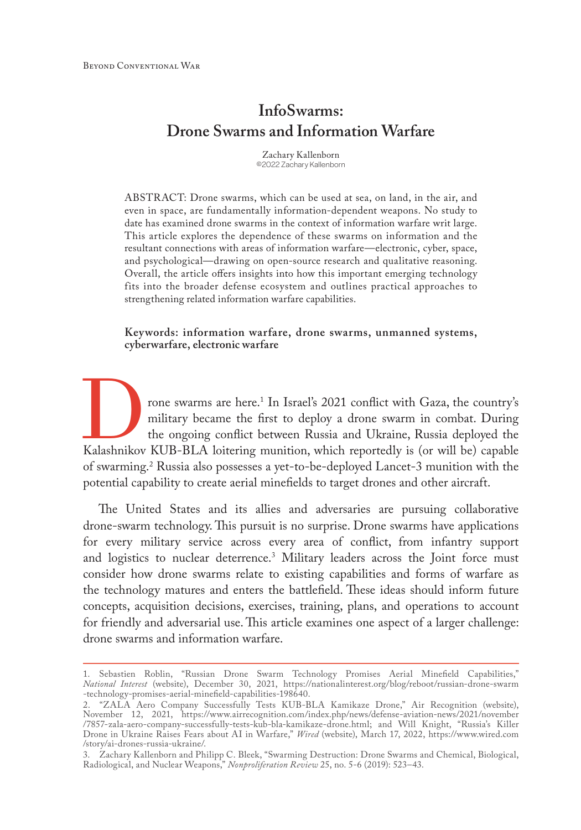# **InfoSwarms: Drone Swarms and Information Warfare**

Zachary Kallenborn ©2022 Zachary Kallenborn

ABSTRACT: Drone swarms, which can be used at sea, on land, in the air, and even in space, are fundamentally information-dependent weapons. No study to date has examined drone swarms in the context of information warfare writ large. This article explores the dependence of these swarms on information and the resultant connections with areas of information warfare—electronic, cyber, space, and psychological—drawing on open-source research and qualitative reasoning. Overall, the article offers insights into how this important emerging technology fits into the broader defense ecosystem and outlines practical approaches to strengthening related information warfare capabilities.

**Keywords: information warfare, drone swarms, unmanned systems, cyberwarfare, electronic warfare**

From the swarms are here.<sup>1</sup> In Israel's 2021 conflict with Gaza, the country's military became the first to deploy a drone swarm in combat. During the ongoing conflict between Russia and Ukraine, Russia deployed the Kalas rone swarms are here.<sup>1</sup> In Israel's 2021 conflict with Gaza, the country's military became the first to deploy a drone swarm in combat. During the ongoing conflict between Russia and Ukraine, Russia deployed the of swarming.2 Russia also possesses a yet-to-be-deployed Lancet-3 munition with the potential capability to create aerial minefields to target drones and other aircraft.

The United States and its allies and adversaries are pursuing collaborative drone-swarm technology. This pursuit is no surprise. Drone swarms have applications for every military service across every area of conflict, from infantry support and logistics to nuclear deterrence.3 Military leaders across the Joint force must consider how drone swarms relate to existing capabilities and forms of warfare as the technology matures and enters the battlefield. These ideas should inform future concepts, acquisition decisions, exercises, training, plans, and operations to account for friendly and adversarial use. This article examines one aspect of a larger challenge: drone swarms and information warfare.

<sup>1.</sup> Sebastien Roblin, "Russian Drone Swarm Technology Promises Aerial Minefield Capabilities," *National Interest* (website), December 30, 2021, [https://nationalinterest.org/blog/reboot/russian-drone-swarm](https://nationalinterest.org/blog/reboot/russian-drone-swarm -technology-promises-aerial-minefield-capabilities-198640) [-technology-promises-aerial-minefield-capabilities-198640](https://nationalinterest.org/blog/reboot/russian-drone-swarm -technology-promises-aerial-minefield-capabilities-198640).

<sup>2.</sup> "ZALA Aero Company Successfully Tests KUB-BLA Kamikaze Drone," Air Recognition (website), November 12, 2021, [https://www.airrecognition.com/index.php/news/defense-aviation-news/2021/november](https://www.airrecognition.com/index.php/news/defense-aviation-news/2021/november/7857-zala-aero-company-successfully-tests-kub-bla-kamikaze-drone.html) [/7857-zala-aero-company-successfully-tests-kub-bla-kamikaze-drone.html;](https://www.airrecognition.com/index.php/news/defense-aviation-news/2021/november/7857-zala-aero-company-successfully-tests-kub-bla-kamikaze-drone.html) and Will Knight, "Russia's Killer Drone in Ukraine Raises Fears about AI in Warfare," *Wired* (website), March 17, 2022, [https://www.wired.com](https://www.wired.com/story/ai-drones-russia-ukraine/) [/story/ai-drones-russia-ukraine/.](https://www.wired.com/story/ai-drones-russia-ukraine/)

<sup>3.</sup> Zachary Kallenborn and Philipp C. Bleek, "Swarming Destruction: Drone Swarms and Chemical, Biological, Radiological, and Nuclear Weapons," *Nonproliferation Review* 25, no. 5-6 (2019): 523–43.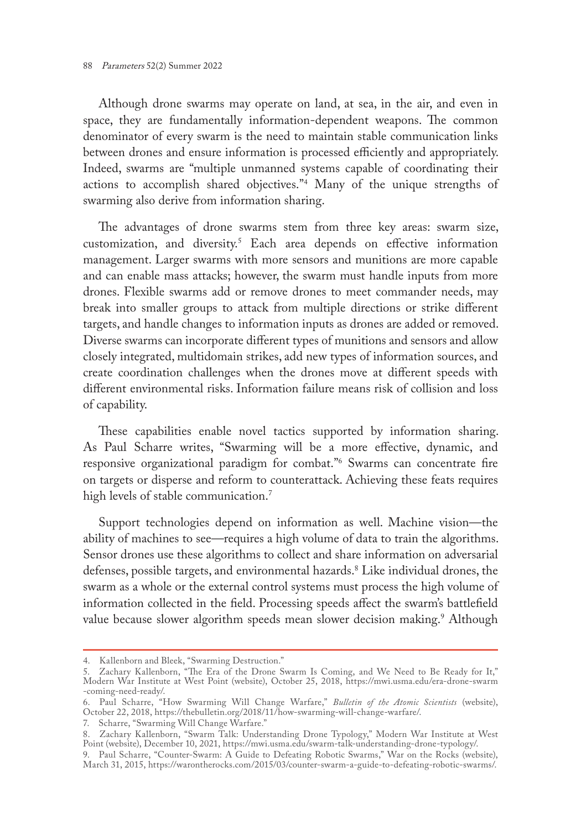Although drone swarms may operate on land, at sea, in the air, and even in space, they are fundamentally information-dependent weapons. The common denominator of every swarm is the need to maintain stable communication links between drones and ensure information is processed efficiently and appropriately. Indeed, swarms are "multiple unmanned systems capable of coordinating their actions to accomplish shared objectives."4 Many of the unique strengths of swarming also derive from information sharing.

The advantages of drone swarms stem from three key areas: swarm size, customization, and diversity.5 Each area depends on effective information management. Larger swarms with more sensors and munitions are more capable and can enable mass attacks; however, the swarm must handle inputs from more drones. Flexible swarms add or remove drones to meet commander needs, may break into smaller groups to attack from multiple directions or strike different targets, and handle changes to information inputs as drones are added or removed. Diverse swarms can incorporate different types of munitions and sensors and allow closely integrated, multidomain strikes, add new types of information sources, and create coordination challenges when the drones move at different speeds with different environmental risks. Information failure means risk of collision and loss of capability.

These capabilities enable novel tactics supported by information sharing. As Paul Scharre writes, "Swarming will be a more effective, dynamic, and responsive organizational paradigm for combat."6 Swarms can concentrate fire on targets or disperse and reform to counterattack. Achieving these feats requires high levels of stable communication.<sup>7</sup>

Support technologies depend on information as well. Machine vision—the ability of machines to see—requires a high volume of data to train the algorithms. Sensor drones use these algorithms to collect and share information on adversarial defenses, possible targets, and environmental hazards.8 Like individual drones, the swarm as a whole or the external control systems must process the high volume of information collected in the field. Processing speeds affect the swarm's battlefield value because slower algorithm speeds mean slower decision making.<sup>9</sup> Although

<sup>4.</sup> Kallenborn and Bleek, "Swarming Destruction."

<sup>5.</sup> Zachary Kallenborn, "The Era of the Drone Swarm Is Coming, and We Need to Be Ready for It," Modern War Institute at West Point (website), October 25, 2018, [https://mwi.usma.edu/era-drone-swarm](https://mwi.usma.edu/era-drone-swarm-coming-need-ready/) [-coming-need-ready/](https://mwi.usma.edu/era-drone-swarm-coming-need-ready/).

<sup>6.</sup> Paul Scharre, "How Swarming Will Change Warfare," *Bulletin of the Atomic Scientists* (website), October 22, 2018, [https://thebulletin.org/2018/11/how-swarming-will-change-warfare/.](https://thebulletin.org/2018/11/how-swarming-will-change-warfare/)

<sup>7.</sup> Scharre, "Swarming Will Change Warfare."

<sup>8.</sup> Zachary Kallenborn, "Swarm Talk: Understanding Drone Typology," Modern War Institute at West Point (website), December 10, 2021, [https://mwi.usma.edu/swarm-talk-understanding-drone-typology/.](https://mwi.usma.edu/swarm-talk-understanding-drone-typology/)

<sup>9.</sup> Paul Scharre, "Counter-Swarm: A Guide to Defeating Robotic Swarms," War on the Rocks (website), March 31, 2015, [https://warontherocks.com/2015/03/counter-swarm-a-guide-to-defeating-robotic-swarms/.](https://warontherocks.com/2015/03/counter-swarm-a-guide-to-defeating-robotic-swarms/)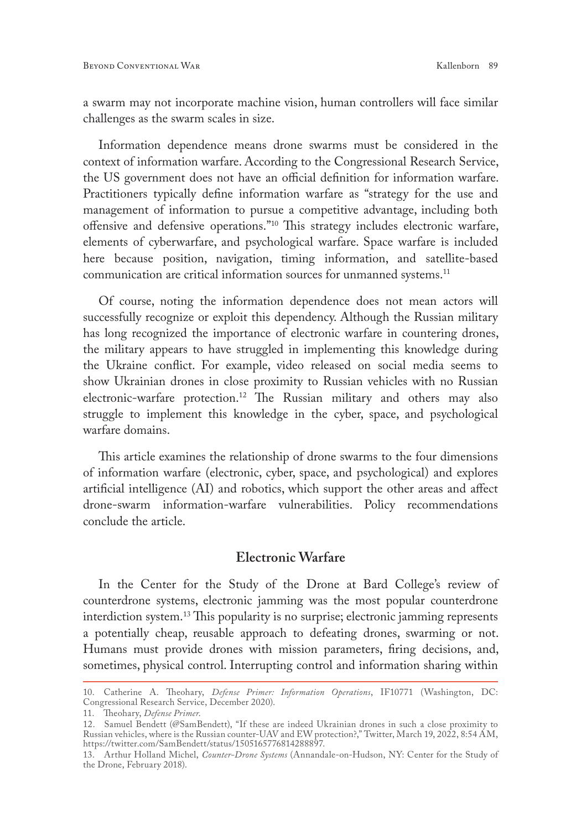a swarm may not incorporate machine vision, human controllers will face similar challenges as the swarm scales in size.

Information dependence means drone swarms must be considered in the context of information warfare. According to the Congressional Research Service, the US government does not have an official definition for information warfare. Practitioners typically define information warfare as "strategy for the use and management of information to pursue a competitive advantage, including both offensive and defensive operations."10 This strategy includes electronic warfare, elements of cyberwarfare, and psychological warfare. Space warfare is included here because position, navigation, timing information, and satellite-based communication are critical information sources for unmanned systems.<sup>11</sup>

Of course, noting the information dependence does not mean actors will successfully recognize or exploit this dependency. Although the Russian military has long recognized the importance of electronic warfare in countering drones, the military appears to have struggled in implementing this knowledge during the Ukraine conflict. For example, video released on social media seems to show Ukrainian drones in close proximity to Russian vehicles with no Russian electronic-warfare protection.<sup>12</sup> The Russian military and others may also struggle to implement this knowledge in the cyber, space, and psychological warfare domains.

This article examines the relationship of drone swarms to the four dimensions of information warfare (electronic, cyber, space, and psychological) and explores artificial intelligence (AI) and robotics, which support the other areas and affect drone-swarm information-warfare vulnerabilities. Policy recommendations conclude the article.

### **Electronic Warfare**

In the Center for the Study of the Drone at Bard College's review of counterdrone systems, electronic jamming was the most popular counterdrone interdiction system.13 This popularity is no surprise; electronic jamming represents a potentially cheap, reusable approach to defeating drones, swarming or not. Humans must provide drones with mission parameters, firing decisions, and, sometimes, physical control. Interrupting control and information sharing within

<sup>10.</sup> Catherine A. Theohary, *Defense Primer: Information Operations*, IF10771 (Washington, DC: Congressional Research Service, December 2020).

<sup>11.</sup> Theohary, *Defense Primer*.

<sup>12.</sup> Samuel Bendett (@SamBendett), "If these are indeed Ukrainian drones in such a close proximity to Russian vehicles, where is the Russian counter-UAV and EW protection?," Twitter, March 19, 2022, 8:54 AM, [https://twitter.com/SamBendett/status/1505165776814288897.](https://twitter.com/SamBendett/status/1505165776814288897)

<sup>13.</sup> Arthur Holland Michel, *Counter-Drone Systems* (Annandale-on-Hudson, NY: Center for the Study of the Drone, February 2018).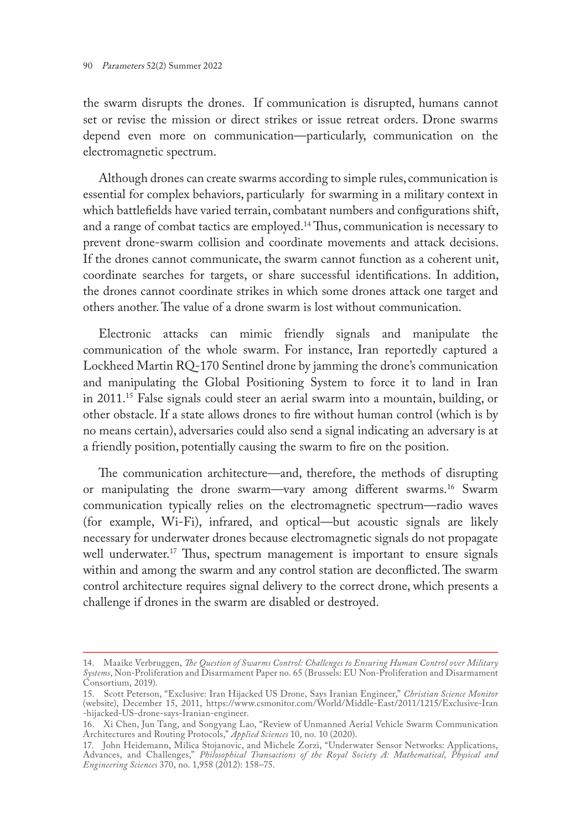the swarm disrupts the drones. If communication is disrupted, humans cannot set or revise the mission or direct strikes or issue retreat orders. Drone swarms depend even more on communication—particularly, communication on the electromagnetic spectrum.

Although drones can create swarms according to simple rules, communication is essential for complex behaviors, particularly for swarming in a military context in which battlefields have varied terrain, combatant numbers and configurations shift, and a range of combat tactics are employed.14 Thus, communication is necessary to prevent drone-swarm collision and coordinate movements and attack decisions. If the drones cannot communicate, the swarm cannot function as a coherent unit, coordinate searches for targets, or share successful identifications. In addition, the drones cannot coordinate strikes in which some drones attack one target and others another. The value of a drone swarm is lost without communication.

Electronic attacks can mimic friendly signals and manipulate the communication of the whole swarm. For instance, Iran reportedly captured a Lockheed Martin RQ-170 Sentinel drone by jamming the drone's communication and manipulating the Global Positioning System to force it to land in Iran in 2011.15 False signals could steer an aerial swarm into a mountain, building, or other obstacle. If a state allows drones to fire without human control (which is by no means certain), adversaries could also send a signal indicating an adversary is at a friendly position, potentially causing the swarm to fire on the position.

The communication architecture—and, therefore, the methods of disrupting or manipulating the drone swarm—vary among different swarms.16 Swarm communication typically relies on the electromagnetic spectrum—radio waves (for example, Wi-Fi), infrared, and optical—but acoustic signals are likely necessary for underwater drones because electromagnetic signals do not propagate well underwater.<sup>17</sup> Thus, spectrum management is important to ensure signals within and among the swarm and any control station are deconflicted. The swarm control architecture requires signal delivery to the correct drone, which presents a challenge if drones in the swarm are disabled or destroyed.

<sup>14.</sup> Maaike Verbruggen, *The Question of Swarms Control: Challenges to Ensuring Human Control over Military Systems*, Non-Proliferation and Disarmament Paper no. 65 (Brussels: EU Non-Proliferation and Disarmament Consortium, 2019).

<sup>15.</sup> Scott Peterson, "Exclusive: Iran Hijacked US Drone, Says Iranian Engineer," *Christian Science Monitor* (website), December 15, 2011, [https://www.csmonitor.com/World/Middle-East/2011/1215/Exclusive-Iran](https://www.csmonitor.com/World/Middle-East/2011/1215/Exclusive-Iran-hijacked-US-drone-says-Iranian-engineer) [-hijacked-US-drone-says-Iranian-engineer.](https://www.csmonitor.com/World/Middle-East/2011/1215/Exclusive-Iran-hijacked-US-drone-says-Iranian-engineer)

<sup>16.</sup> Xi Chen, Jun Tang, and Songyang Lao, "Review of Unmanned Aerial Vehicle Swarm Communication Architectures and Routing Protocols," *Applied Sciences* 10, no. 10 (2020).

<sup>17.</sup> John Heidemann, Milica Stojanovic, and Michele Zorzi, "Underwater Sensor Networks: Applications, Advances, and Challenges," *Philosophical Transactions of the Royal Society A: Mathematical, Physical and Engineering Sciences* 370, no. 1,958 (2012): 158–75.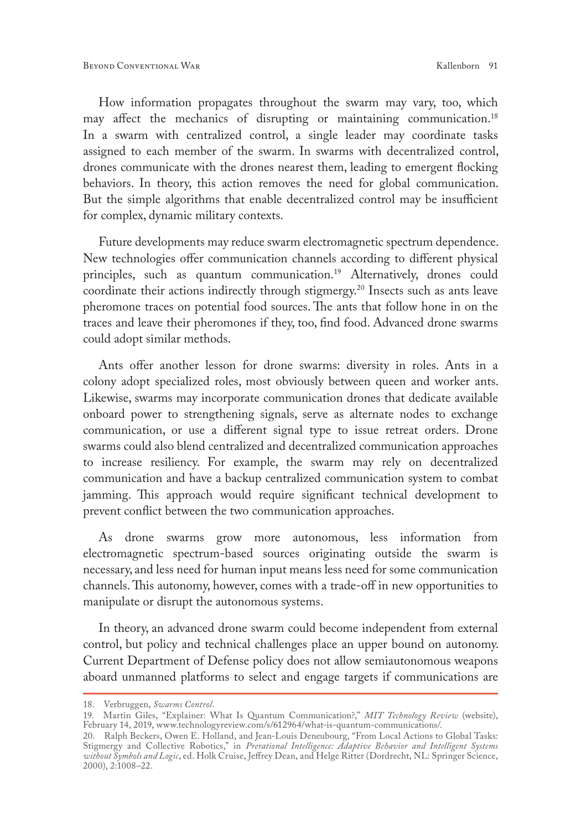How information propagates throughout the swarm may vary, too, which may affect the mechanics of disrupting or maintaining communication.18 In a swarm with centralized control, a single leader may coordinate tasks assigned to each member of the swarm. In swarms with decentralized control, drones communicate with the drones nearest them, leading to emergent flocking behaviors. In theory, this action removes the need for global communication. But the simple algorithms that enable decentralized control may be insufficient for complex, dynamic military contexts.

Future developments may reduce swarm electromagnetic spectrum dependence. New technologies offer communication channels according to different physical principles, such as quantum communication.<sup>19</sup> Alternatively, drones could coordinate their actions indirectly through stigmergy.20 Insects such as ants leave pheromone traces on potential food sources. The ants that follow hone in on the traces and leave their pheromones if they, too, find food. Advanced drone swarms could adopt similar methods.

Ants offer another lesson for drone swarms: diversity in roles. Ants in a colony adopt specialized roles, most obviously between queen and worker ants. Likewise, swarms may incorporate communication drones that dedicate available onboard power to strengthening signals, serve as alternate nodes to exchange communication, or use a different signal type to issue retreat orders. Drone swarms could also blend centralized and decentralized communication approaches to increase resiliency. For example, the swarm may rely on decentralized communication and have a backup centralized communication system to combat jamming. This approach would require significant technical development to prevent conflict between the two communication approaches.

As drone swarms grow more autonomous, less information from electromagnetic spectrum-based sources originating outside the swarm is necessary, and less need for human input means less need for some communication channels. This autonomy, however, comes with a trade-off in new opportunities to manipulate or disrupt the autonomous systems.

In theory, an advanced drone swarm could become independent from external control, but policy and technical challenges place an upper bound on autonomy. Current Department of Defense policy does not allow semiautonomous weapons aboard unmanned platforms to select and engage targets if communications are

<sup>18.</sup> Verbruggen, *Swarms Control*.

<sup>19.</sup> Martin Giles, "Explainer: What Is Quantum Communication?," *MIT Technology Review* (website), February 14, 2019, [www.technologyreview.com/s/612964/what-is-quantum-communications/.](http://www.technologyreview.com/s/612964/what-is-quantum-communications/)

<sup>20.</sup> Ralph Beckers, Owen E. Holland, and Jean-Louis Deneubourg, "From Local Actions to Global Tasks: Stigmergy and Collective Robotics," in *Prerational Intelligence: Adaptive Behavior and Intelligent Systems without Symbols and Logic*, ed. Holk Cruise, Jeffrey Dean, and Helge Ritter (Dordrecht, NL: Springer Science, 2000), 2:1008–22.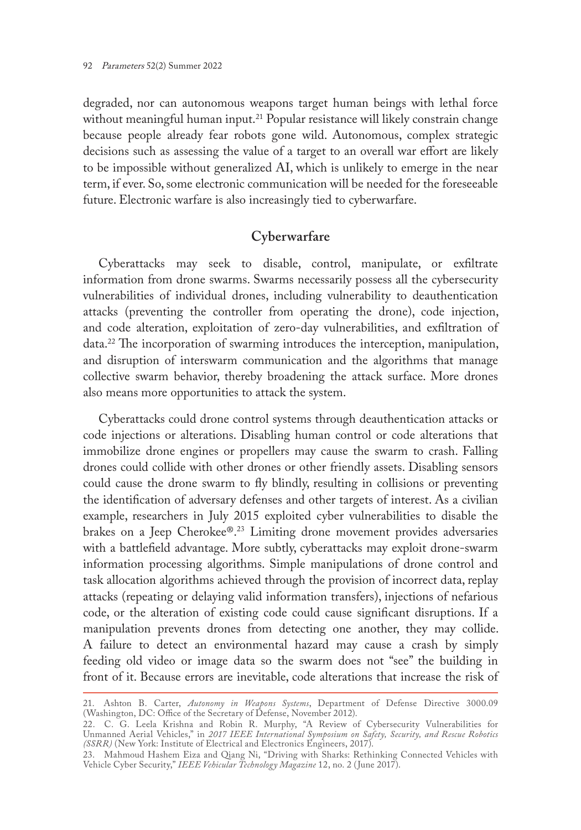degraded, nor can autonomous weapons target human beings with lethal force without meaningful human input.<sup>21</sup> Popular resistance will likely constrain change because people already fear robots gone wild. Autonomous, complex strategic decisions such as assessing the value of a target to an overall war effort are likely to be impossible without generalized AI, which is unlikely to emerge in the near term, if ever. So, some electronic communication will be needed for the foreseeable future. Electronic warfare is also increasingly tied to cyberwarfare.

## **Cyberwarfare**

Cyberattacks may seek to disable, control, manipulate, or exfiltrate information from drone swarms. Swarms necessarily possess all the cybersecurity vulnerabilities of individual drones, including vulnerability to deauthentication attacks (preventing the controller from operating the drone), code injection, and code alteration, exploitation of zero-day vulnerabilities, and exfiltration of data.22 The incorporation of swarming introduces the interception, manipulation, and disruption of interswarm communication and the algorithms that manage collective swarm behavior, thereby broadening the attack surface. More drones also means more opportunities to attack the system.

Cyberattacks could drone control systems through deauthentication attacks or code injections or alterations. Disabling human control or code alterations that immobilize drone engines or propellers may cause the swarm to crash. Falling drones could collide with other drones or other friendly assets. Disabling sensors could cause the drone swarm to fly blindly, resulting in collisions or preventing the identification of adversary defenses and other targets of interest. As a civilian example, researchers in July 2015 exploited cyber vulnerabilities to disable the brakes on a Jeep Cherokee®.23 Limiting drone movement provides adversaries with a battlefield advantage. More subtly, cyberattacks may exploit drone-swarm information processing algorithms. Simple manipulations of drone control and task allocation algorithms achieved through the provision of incorrect data, replay attacks (repeating or delaying valid information transfers), injections of nefarious code, or the alteration of existing code could cause significant disruptions. If a manipulation prevents drones from detecting one another, they may collide. A failure to detect an environmental hazard may cause a crash by simply feeding old video or image data so the swarm does not "see" the building in front of it. Because errors are inevitable, code alterations that increase the risk of

<sup>21.</sup> Ashton B. Carter, *Autonomy in Weapons Systems*, Department of Defense Directive 3000.09 (Washington, DC: Office of the Secretary of Defense, November 2012).

<sup>22.</sup> C. G. Leela Krishna and Robin R. Murphy, "A Review of Cybersecurity Vulnerabilities for Unmanned Aerial Vehicles," in *2017 IEEE International Symposium on Safety, Security, and Rescue Robotics (SSRR)* (New York: Institute of Electrical and Electronics Engineers, 2017).

<sup>23.</sup> Mahmoud Hashem Eiza and Qiang Ni, "Driving with Sharks: Rethinking Connected Vehicles with Vehicle Cyber Security," *IEEE Vehicular Technology Magazine* 12, no. 2 (June 2017).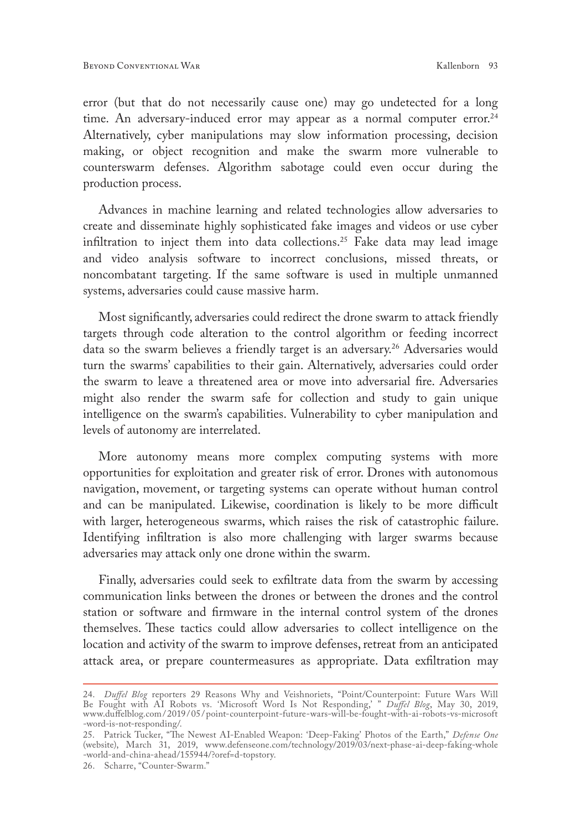error (but that do not necessarily cause one) may go undetected for a long time. An adversary-induced error may appear as a normal computer error.<sup>24</sup> Alternatively, cyber manipulations may slow information processing, decision making, or object recognition and make the swarm more vulnerable to counterswarm defenses. Algorithm sabotage could even occur during the production process.

Advances in machine learning and related technologies allow adversaries to create and disseminate highly sophisticated fake images and videos or use cyber infiltration to inject them into data collections.25 Fake data may lead image and video analysis software to incorrect conclusions, missed threats, or noncombatant targeting. If the same software is used in multiple unmanned systems, adversaries could cause massive harm.

Most significantly, adversaries could redirect the drone swarm to attack friendly targets through code alteration to the control algorithm or feeding incorrect data so the swarm believes a friendly target is an adversary.<sup>26</sup> Adversaries would turn the swarms' capabilities to their gain. Alternatively, adversaries could order the swarm to leave a threatened area or move into adversarial fire. Adversaries might also render the swarm safe for collection and study to gain unique intelligence on the swarm's capabilities. Vulnerability to cyber manipulation and levels of autonomy are interrelated.

More autonomy means more complex computing systems with more opportunities for exploitation and greater risk of error. Drones with autonomous navigation, movement, or targeting systems can operate without human control and can be manipulated. Likewise, coordination is likely to be more difficult with larger, heterogeneous swarms, which raises the risk of catastrophic failure. Identifying infiltration is also more challenging with larger swarms because adversaries may attack only one drone within the swarm.

Finally, adversaries could seek to exfiltrate data from the swarm by accessing communication links between the drones or between the drones and the control station or software and firmware in the internal control system of the drones themselves. These tactics could allow adversaries to collect intelligence on the location and activity of the swarm to improve defenses, retreat from an anticipated attack area, or prepare countermeasures as appropriate. Data exfiltration may

<sup>24.</sup> *Duffel Blog* reporters 29 Reasons Why and Veishnoriets, "Point/Counterpoint: Future Wars Will Be Fought with AI Robots vs. 'Microsoft Word Is Not Responding,' " *Duffel Blog*, May 30, 2019, www.duffelblog.com/ 2019/ 05 [/point-counterpoint-future-wars-will-be-fought-with-ai-robots-vs-microsoft](http://www.duffelblog.com/2019/05/point-counterpoint-future-wars-will-be-fought-with-ai-robots-vs-microsoft-word-is-not-responding/) [-word-is-not-responding/.](http://www.duffelblog.com/2019/05/point-counterpoint-future-wars-will-be-fought-with-ai-robots-vs-microsoft-word-is-not-responding/)

<sup>25.</sup> Patrick Tucker, "The Newest AI-Enabled Weapon: 'Deep-Faking' Photos of the Earth," *Defense One* (website), March 31, 2019, [www.defenseone.com/technology/2019/03/next-phase-ai-deep-faking-whole](http://www.defenseone.com/technology/2019/03/next-phase-ai-deep-faking-whole-world-and-china-ahead/155944/?oref=d-topstory) [-world-and-china-ahead/155944/?oref=d-topstory](http://www.defenseone.com/technology/2019/03/next-phase-ai-deep-faking-whole-world-and-china-ahead/155944/?oref=d-topstory).

<sup>26.</sup> Scharre, "Counter-Swarm."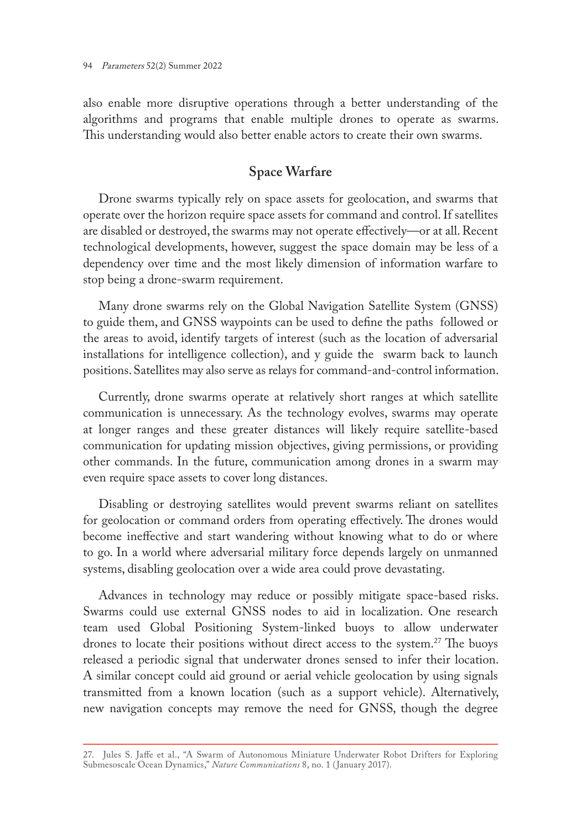also enable more disruptive operations through a better understanding of the algorithms and programs that enable multiple drones to operate as swarms. This understanding would also better enable actors to create their own swarms.

## **Space Warfare**

Drone swarms typically rely on space assets for geolocation, and swarms that operate over the horizon require space assets for command and control. If satellites are disabled or destroyed, the swarms may not operate effectively—or at all. Recent technological developments, however, suggest the space domain may be less of a dependency over time and the most likely dimension of information warfare to stop being a drone-swarm requirement.

Many drone swarms rely on the Global Navigation Satellite System (GNSS) to guide them, and GNSS waypoints can be used to define the paths followed or the areas to avoid, identify targets of interest (such as the location of adversarial installations for intelligence collection), and y guide the swarm back to launch positions. Satellites may also serve as relays for command-and-control information.

Currently, drone swarms operate at relatively short ranges at which satellite communication is unnecessary. As the technology evolves, swarms may operate at longer ranges and these greater distances will likely require satellite-based communication for updating mission objectives, giving permissions, or providing other commands. In the future, communication among drones in a swarm may even require space assets to cover long distances.

Disabling or destroying satellites would prevent swarms reliant on satellites for geolocation or command orders from operating effectively. The drones would become ineffective and start wandering without knowing what to do or where to go. In a world where adversarial military force depends largely on unmanned systems, disabling geolocation over a wide area could prove devastating.

Advances in technology may reduce or possibly mitigate space-based risks. Swarms could use external GNSS nodes to aid in localization. One research team used Global Positioning System-linked buoys to allow underwater drones to locate their positions without direct access to the system.<sup>27</sup> The buoys released a periodic signal that underwater drones sensed to infer their location. A similar concept could aid ground or aerial vehicle geolocation by using signals transmitted from a known location (such as a support vehicle). Alternatively, new navigation concepts may remove the need for GNSS, though the degree

<sup>27.</sup> Jules S. Jaffe et al., "A Swarm of Autonomous Miniature Underwater Robot Drifters for Exploring Submesoscale Ocean Dynamics," *Nature Communications* 8, no. 1 (January 2017).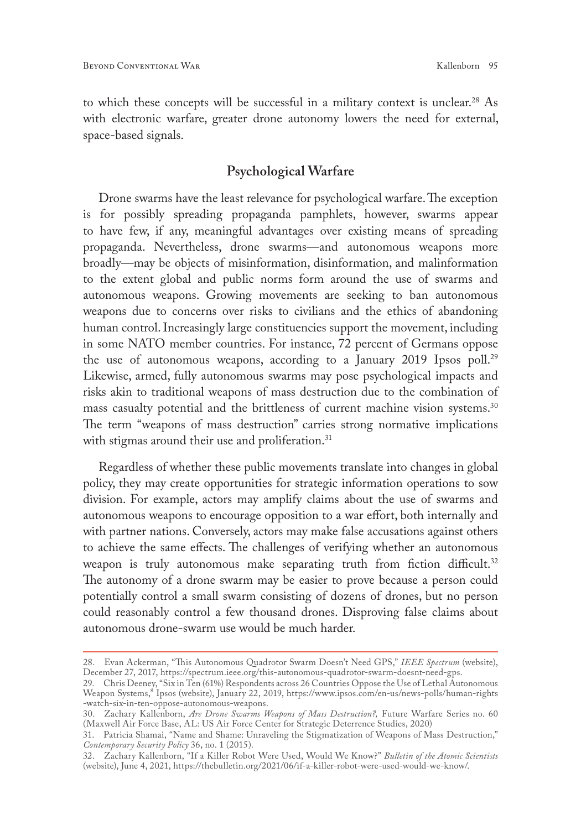to which these concepts will be successful in a military context is unclear.<sup>28</sup> As with electronic warfare, greater drone autonomy lowers the need for external, space-based signals.

### **Psychological Warfare**

Drone swarms have the least relevance for psychological warfare. The exception is for possibly spreading propaganda pamphlets, however, swarms appear to have few, if any, meaningful advantages over existing means of spreading propaganda. Nevertheless, drone swarms—and autonomous weapons more broadly—may be objects of misinformation, disinformation, and malinformation to the extent global and public norms form around the use of swarms and autonomous weapons. Growing movements are seeking to ban autonomous weapons due to concerns over risks to civilians and the ethics of abandoning human control. Increasingly large constituencies support the movement, including in some NATO member countries. For instance, 72 percent of Germans oppose the use of autonomous weapons, according to a January 2019 Ipsos poll.29 Likewise, armed, fully autonomous swarms may pose psychological impacts and risks akin to traditional weapons of mass destruction due to the combination of mass casualty potential and the brittleness of current machine vision systems.<sup>30</sup> The term "weapons of mass destruction" carries strong normative implications with stigmas around their use and proliferation.<sup>31</sup>

Regardless of whether these public movements translate into changes in global policy, they may create opportunities for strategic information operations to sow division. For example, actors may amplify claims about the use of swarms and autonomous weapons to encourage opposition to a war effort, both internally and with partner nations. Conversely, actors may make false accusations against others to achieve the same effects. The challenges of verifying whether an autonomous weapon is truly autonomous make separating truth from fiction difficult.<sup>32</sup> The autonomy of a drone swarm may be easier to prove because a person could potentially control a small swarm consisting of dozens of drones, but no person could reasonably control a few thousand drones. Disproving false claims about autonomous drone-swarm use would be much harder.

<sup>28.</sup> Evan Ackerman, "This Autonomous Quadrotor Swarm Doesn't Need GPS," *IEEE Spectrum* (website), December 27, 2017,<https://spectrum.ieee.org/this-autonomous-quadrotor-swarm-doesnt-need-gps>.

<sup>29.</sup> Chris Deeney, "Six in Ten (61%) Respondents across 26 Countries Oppose the Use of Lethal Autonomous Weapon Systems," Ipsos (website), January 22, 2019, [https://www.ipsos.com/en-us/news-polls/human-rights](https://www.ipsos.com/en-us/news-polls/human-rights-watch-six-in-ten-oppose-autonomous-weapons) [-watch-six-in-ten-oppose-autonomous-weapons.](https://www.ipsos.com/en-us/news-polls/human-rights-watch-six-in-ten-oppose-autonomous-weapons)

<sup>30.</sup> Zachary Kallenborn, *Are Drone Swarms Weapons of Mass Destruction?,* Future Warfare Series no. 60 (Maxwell Air Force Base, AL: US Air Force Center for Strategic Deterrence Studies, 2020)

<sup>31.</sup> Patricia Shamai, "Name and Shame: Unraveling the Stigmatization of Weapons of Mass Destruction," *Contemporary Security Policy* 36, no. 1 (2015).

<sup>32.</sup> Zachary Kallenborn, "If a Killer Robot Were Used, Would We Know?" *Bulletin of the Atomic Scientists* (website), June 4, 2021,<https://thebulletin.org/2021/06/if-a-killer-robot-were-used-would-we-know/>.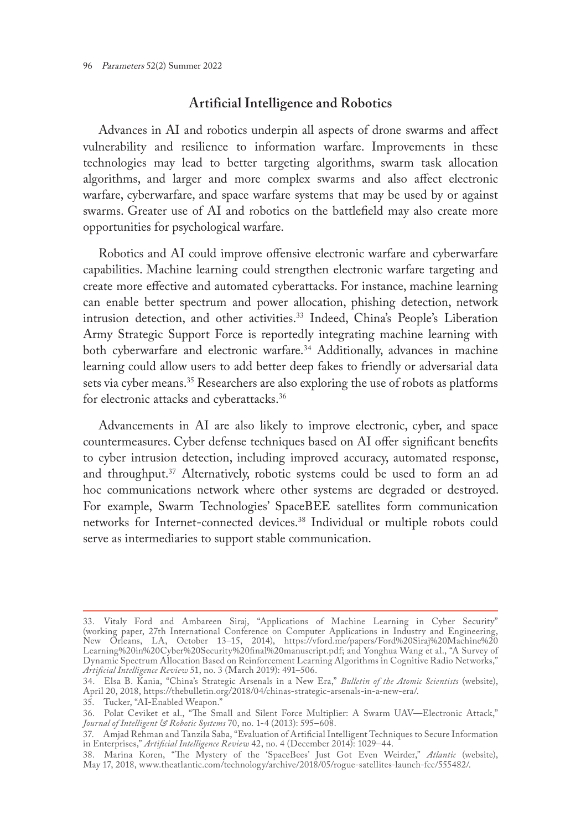### **Artificial Intelligence and Robotics**

Advances in AI and robotics underpin all aspects of drone swarms and affect vulnerability and resilience to information warfare. Improvements in these technologies may lead to better targeting algorithms, swarm task allocation algorithms, and larger and more complex swarms and also affect electronic warfare, cyberwarfare, and space warfare systems that may be used by or against swarms. Greater use of AI and robotics on the battlefield may also create more opportunities for psychological warfare.

Robotics and AI could improve offensive electronic warfare and cyberwarfare capabilities. Machine learning could strengthen electronic warfare targeting and create more effective and automated cyberattacks. For instance, machine learning can enable better spectrum and power allocation, phishing detection, network intrusion detection, and other activities.<sup>33</sup> Indeed, China's People's Liberation Army Strategic Support Force is reportedly integrating machine learning with both cyberwarfare and electronic warfare.<sup>34</sup> Additionally, advances in machine learning could allow users to add better deep fakes to friendly or adversarial data sets via cyber means.<sup>35</sup> Researchers are also exploring the use of robots as platforms for electronic attacks and cyberattacks.36

Advancements in AI are also likely to improve electronic, cyber, and space countermeasures. Cyber defense techniques based on AI offer significant benefits to cyber intrusion detection, including improved accuracy, automated response, and throughput.<sup>37</sup> Alternatively, robotic systems could be used to form an ad hoc communications network where other systems are degraded or destroyed. For example, Swarm Technologies' SpaceBEE satellites form communication networks for Internet-connected devices.<sup>38</sup> Individual or multiple robots could serve as intermediaries to support stable communication.

<sup>33.</sup> Vitaly Ford and Ambareen Siraj, "Applications of Machine Learning in Cyber Security" (working paper, 27th International Conference on Computer Applications in Industry and Engineering, New Orleans, LA, October 13–15, 2014), [https://vford.me/papers/Ford%20Siraj%20Machine%20](https://vford.me/papers/Ford%20Siraj%20Machine%20Learning%20in%20Cyber%20Security%20final%20manuscript.pdf) [Learning%20in%20Cyber%20Security%20final%20manuscript.pdf;](https://vford.me/papers/Ford%20Siraj%20Machine%20Learning%20in%20Cyber%20Security%20final%20manuscript.pdf) and Yonghua Wang et al., "A Survey of Dynamic Spectrum Allocation Based on Reinforcement Learning Algorithms in Cognitive Radio Networks," *Artificial Intelligence Review* 51, no. 3 (March 2019): 491–506.

<sup>34.</sup> Elsa B. Kania, "China's Strategic Arsenals in a New Era," *Bulletin of the Atomic Scientists* (website), April 20, 2018, <https://thebulletin.org/2018/04/chinas-strategic-arsenals-in-a-new-era/>.

<sup>35.</sup> Tucker, "AI-Enabled Weapon."

<sup>36.</sup> Polat Ceviket et al., "The Small and Silent Force Multiplier: A Swarm UAV—Electronic Attack," *Journal of Intelligent & Robotic Systems* 70, no. 1-4 (2013): 595–608.

<sup>37.</sup> Amjad Rehman and Tanzila Saba, "Evaluation of Artificial Intelligent Techniques to Secure Information in Enterprises," *Artificial Intelligence Review* 42, no. 4 (December 2014): 1029–44.

<sup>38.</sup> Marina Koren, "The Mystery of the 'SpaceBees' Just Got Even Weirder," *Atlantic* (website), May 17, 2018, [www.theatlantic.com/technology/archive/2018/05/rogue-satellites-launch-fcc/555482/](http://www.theatlantic.com/technology/archive/2018/05/rogue-satellites-launch-fcc/555482/).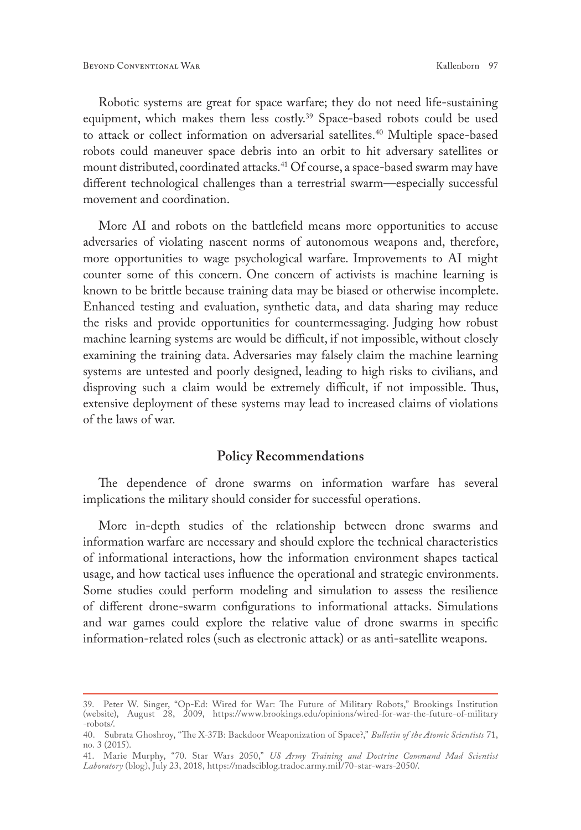Robotic systems are great for space warfare; they do not need life-sustaining equipment, which makes them less costly.<sup>39</sup> Space-based robots could be used to attack or collect information on adversarial satellites.<sup>40</sup> Multiple space-based robots could maneuver space debris into an orbit to hit adversary satellites or mount distributed, coordinated attacks.<sup>41</sup> Of course, a space-based swarm may have different technological challenges than a terrestrial swarm—especially successful movement and coordination.

More AI and robots on the battlefield means more opportunities to accuse adversaries of violating nascent norms of autonomous weapons and, therefore, more opportunities to wage psychological warfare. Improvements to AI might counter some of this concern. One concern of activists is machine learning is known to be brittle because training data may be biased or otherwise incomplete. Enhanced testing and evaluation, synthetic data, and data sharing may reduce the risks and provide opportunities for countermessaging. Judging how robust machine learning systems are would be difficult, if not impossible, without closely examining the training data. Adversaries may falsely claim the machine learning systems are untested and poorly designed, leading to high risks to civilians, and disproving such a claim would be extremely difficult, if not impossible. Thus, extensive deployment of these systems may lead to increased claims of violations of the laws of war.

#### **Policy Recommendations**

The dependence of drone swarms on information warfare has several implications the military should consider for successful operations.

More in-depth studies of the relationship between drone swarms and information warfare are necessary and should explore the technical characteristics of informational interactions, how the information environment shapes tactical usage, and how tactical uses influence the operational and strategic environments. Some studies could perform modeling and simulation to assess the resilience of different drone-swarm configurations to informational attacks. Simulations and war games could explore the relative value of drone swarms in specific information-related roles (such as electronic attack) or as anti-satellite weapons.

<sup>39.</sup> Peter W. Singer, "Op-Ed: Wired for War: The Future of Military Robots," Brookings Institution (website), August 28, 2009, [https://www.brookings.edu/opinions/wired-for-war-the-future-of-military](https://www.brookings.edu/opinions/wired-for-war-the-future-of-military-robots/) [-robots/.](https://www.brookings.edu/opinions/wired-for-war-the-future-of-military-robots/)

<sup>40.</sup> Subrata Ghoshroy, "The X-37B: Backdoor Weaponization of Space?," *Bulletin of the Atomic Scientists* 71, no. 3 (2015).

<sup>41.</sup> Marie Murphy, "70. Star Wars 2050," *US Army Training and Doctrine Command Mad Scientist Laboratory* (blog), July 23, 2018, <https://madsciblog.tradoc.army.mil/70-star-wars-2050/>.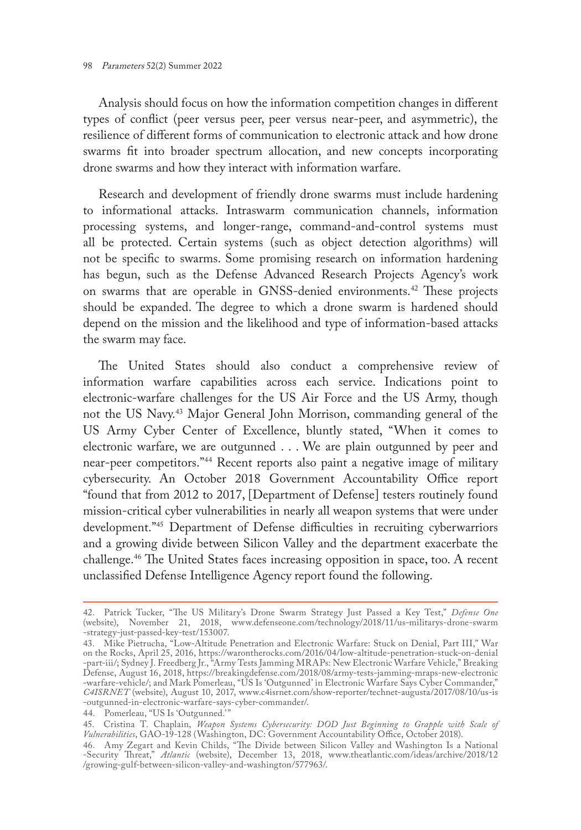Analysis should focus on how the information competition changes in different types of conflict (peer versus peer, peer versus near-peer, and asymmetric), the resilience of different forms of communication to electronic attack and how drone swarms fit into broader spectrum allocation, and new concepts incorporating drone swarms and how they interact with information warfare.

Research and development of friendly drone swarms must include hardening to informational attacks. Intraswarm communication channels, information processing systems, and longer-range, command-and-control systems must all be protected. Certain systems (such as object detection algorithms) will not be specific to swarms. Some promising research on information hardening has begun, such as the Defense Advanced Research Projects Agency's work on swarms that are operable in GNSS-denied environments.42 These projects should be expanded. The degree to which a drone swarm is hardened should depend on the mission and the likelihood and type of information-based attacks the swarm may face.

The United States should also conduct a comprehensive review of information warfare capabilities across each service. Indications point to electronic-warfare challenges for the US Air Force and the US Army, though not the US Navy.43 Major General John Morrison, commanding general of the US Army Cyber Center of Excellence, bluntly stated, "When it comes to electronic warfare, we are outgunned . . . We are plain outgunned by peer and near-peer competitors."44 Recent reports also paint a negative image of military cybersecurity. An October 2018 Government Accountability Office report "found that from 2012 to 2017, [Department of Defense] testers routinely found mission-critical cyber vulnerabilities in nearly all weapon systems that were under development."45 Department of Defense difficulties in recruiting cyberwarriors and a growing divide between Silicon Valley and the department exacerbate the challenge.46 The United States faces increasing opposition in space, too. A recent unclassified Defense Intelligence Agency report found the following.

<sup>42.</sup> Patrick Tucker, "The US Military's Drone Swarm Strategy Just Passed a Key Test," *Defense One* (website), November 21, 2018, [www.defenseone.com/technology/2018/11/us-militarys-drone-swarm](http://www.defenseone.com/technology/2018/11/us-militarys-drone-swarm-strategy-just-passed-key-test/153007) [-strategy-just-passed-key-test/153007.](http://www.defenseone.com/technology/2018/11/us-militarys-drone-swarm-strategy-just-passed-key-test/153007)

<sup>43.</sup> Mike Pietrucha, "Low-Altitude Penetration and Electronic Warfare: Stuck on Denial, Part III," War on the Rocks, April 25, 2016, [https://warontherocks.com/2016/04/low-altitude-penetration-stuck-on-denial](https://warontherocks.com/2016/04/low-altitude-penetration-stuck-on-denial-part-iii/) [-part-iii/](https://warontherocks.com/2016/04/low-altitude-penetration-stuck-on-denial-part-iii/); Sydney J. Freedberg Jr., "Army Tests Jamming MRAPs: New Electronic Warfare Vehicle," Breaking Defense, August 16, 2018, [https://breakingdefense.com/2018/08/army-tests-jamming-mraps-new-electronic](https://breakingdefense.com/2018/08/army-tests-jamming-mraps-new-electronic-warfare-vehicle/) [-warfare-vehicle/](https://breakingdefense.com/2018/08/army-tests-jamming-mraps-new-electronic-warfare-vehicle/); and Mark Pomerleau, "US Is 'Outgunned' in Electronic Warfare Says Cyber Commander," *C4ISRNET* (website), August 10, 2017, [www.c4isrnet.com/show-reporter/technet-augusta/2017/08/10/us-is](http://www.c4isrnet.com/show-reporter/technet-augusta/2017/08/10/us-is-outgunned-in-electronic-warfare-says-cyber-commander/) [-outgunned-in-electronic-warfare-says-cyber-commander/.](http://www.c4isrnet.com/show-reporter/technet-augusta/2017/08/10/us-is-outgunned-in-electronic-warfare-says-cyber-commander/)

<sup>44.</sup> Pomerleau, "US Is 'Outgunned.'"

<sup>45.</sup> Cristina T. Chaplain, *Weapon Systems Cybersecurity: DOD Just Beginning to Grapple with Scale of Vulnerabilities*, GAO-19-128 (Washington, DC: Government Accountability Office, October 2018).

<sup>46.</sup> Amy Zegart and Kevin Childs, "The Divide between Silicon Valley and Washington Is a National -Security Threat," *Atlantic* (website), December 13, 2018, [www.theatlantic.com/ideas/archive/2018/12](http://www.theatlantic.com/ideas/archive/2018/12/growing-gulf-between-silicon-valley-and-washington/577963/) [/growing-gulf-between-silicon-valley-and-washington/577963/](http://www.theatlantic.com/ideas/archive/2018/12/growing-gulf-between-silicon-valley-and-washington/577963/).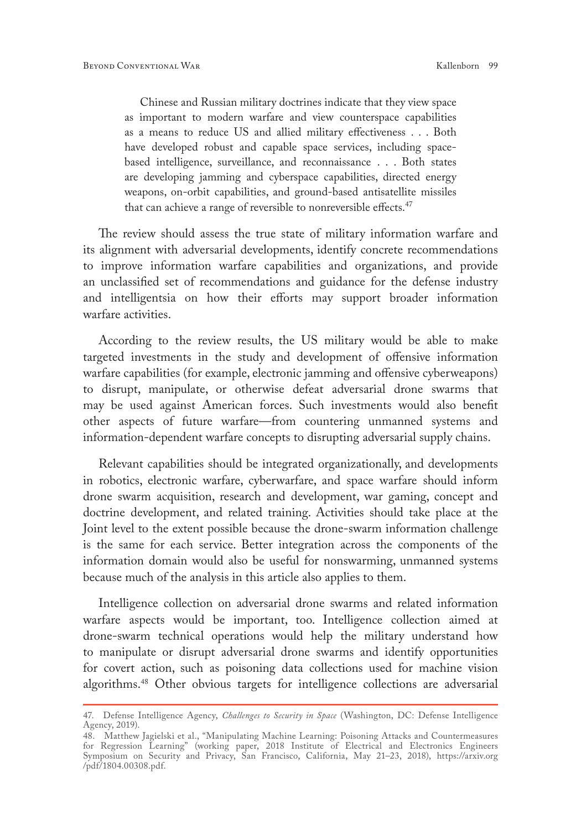Chinese and Russian military doctrines indicate that they view space as important to modern warfare and view counterspace capabilities as a means to reduce US and allied military effectiveness . . . Both have developed robust and capable space services, including spacebased intelligence, surveillance, and reconnaissance . . . Both states are developing jamming and cyberspace capabilities, directed energy weapons, on-orbit capabilities, and ground-based antisatellite missiles that can achieve a range of reversible to nonreversible effects.<sup>47</sup>

The review should assess the true state of military information warfare and its alignment with adversarial developments, identify concrete recommendations to improve information warfare capabilities and organizations, and provide an unclassified set of recommendations and guidance for the defense industry and intelligentsia on how their efforts may support broader information warfare activities.

According to the review results, the US military would be able to make targeted investments in the study and development of offensive information warfare capabilities (for example, electronic jamming and offensive cyberweapons) to disrupt, manipulate, or otherwise defeat adversarial drone swarms that may be used against American forces. Such investments would also benefit other aspects of future warfare—from countering unmanned systems and information-dependent warfare concepts to disrupting adversarial supply chains.

Relevant capabilities should be integrated organizationally, and developments in robotics, electronic warfare, cyberwarfare, and space warfare should inform drone swarm acquisition, research and development, war gaming, concept and doctrine development, and related training. Activities should take place at the Joint level to the extent possible because the drone-swarm information challenge is the same for each service. Better integration across the components of the information domain would also be useful for nonswarming, unmanned systems because much of the analysis in this article also applies to them.

Intelligence collection on adversarial drone swarms and related information warfare aspects would be important, too. Intelligence collection aimed at drone-swarm technical operations would help the military understand how to manipulate or disrupt adversarial drone swarms and identify opportunities for covert action, such as poisoning data collections used for machine vision algorithms.48 Other obvious targets for intelligence collections are adversarial

<sup>47.</sup> Defense Intelligence Agency, *Challenges to Security in Space* (Washington, DC: Defense Intelligence Agency, 2019).

<sup>48.</sup> Matthew Jagielski et al., "Manipulating Machine Learning: Poisoning Attacks and Countermeasures for Regression Learning" (working paper, 2018 Institute of Electrical and Electronics Engineers Symposium on Security and Privacy, San Francisco, California, May 21–23, 2018), [https://arxiv.org](https://arxiv.org/pdf/1804.00308.pdf) [/pdf/1804.00308.pdf.](https://arxiv.org/pdf/1804.00308.pdf)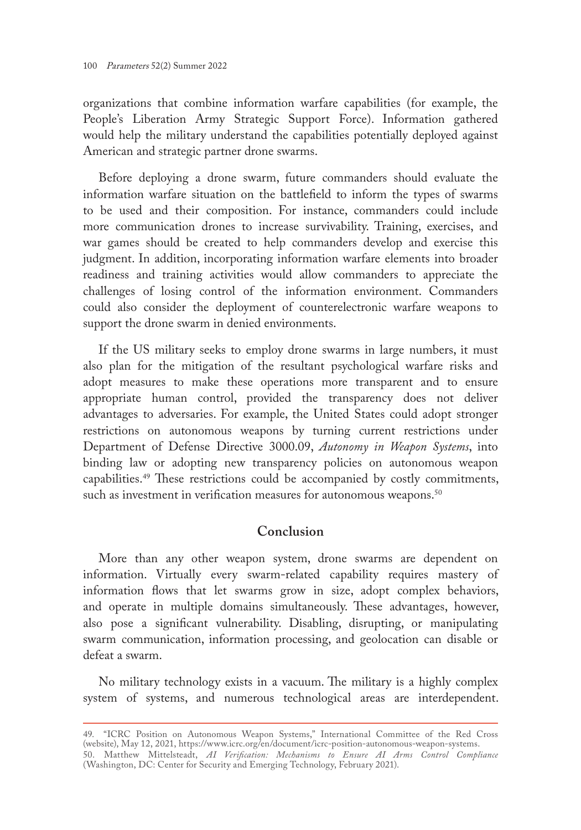organizations that combine information warfare capabilities (for example, the People's Liberation Army Strategic Support Force). Information gathered would help the military understand the capabilities potentially deployed against American and strategic partner drone swarms.

Before deploying a drone swarm, future commanders should evaluate the information warfare situation on the battlefield to inform the types of swarms to be used and their composition. For instance, commanders could include more communication drones to increase survivability. Training, exercises, and war games should be created to help commanders develop and exercise this judgment. In addition, incorporating information warfare elements into broader readiness and training activities would allow commanders to appreciate the challenges of losing control of the information environment. Commanders could also consider the deployment of counterelectronic warfare weapons to support the drone swarm in denied environments.

If the US military seeks to employ drone swarms in large numbers, it must also plan for the mitigation of the resultant psychological warfare risks and adopt measures to make these operations more transparent and to ensure appropriate human control, provided the transparency does not deliver advantages to adversaries. For example, the United States could adopt stronger restrictions on autonomous weapons by turning current restrictions under Department of Defense Directive 3000.09, *Autonomy in Weapon Systems*, into binding law or adopting new transparency policies on autonomous weapon capabilities.49 These restrictions could be accompanied by costly commitments, such as investment in verification measures for autonomous weapons.<sup>50</sup>

## **Conclusion**

More than any other weapon system, drone swarms are dependent on information. Virtually every swarm-related capability requires mastery of information flows that let swarms grow in size, adopt complex behaviors, and operate in multiple domains simultaneously. These advantages, however, also pose a significant vulnerability. Disabling, disrupting, or manipulating swarm communication, information processing, and geolocation can disable or defeat a swarm.

No military technology exists in a vacuum. The military is a highly complex system of systems, and numerous technological areas are interdependent.

<sup>49.</sup> "ICRC Position on Autonomous Weapon Systems," International Committee of the Red Cross (website), May 12, 2021, <https://www.icrc.org/en/document/icrc-position-autonomous-weapon-systems>. 50. Matthew Mittelsteadt, *AI Verification: Mechanisms to Ensure AI Arms Control Compliance* (Washington, DC: Center for Security and Emerging Technology, February 2021).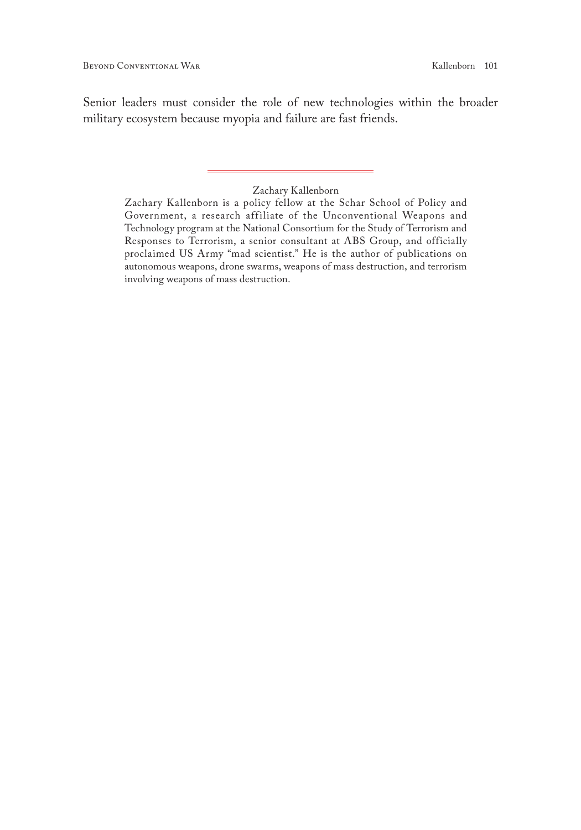Senior leaders must consider the role of new technologies within the broader military ecosystem because myopia and failure are fast friends.

#### Zachary Kallenborn

Zachary Kallenborn is a policy fellow at the Schar School of Policy and Government, a research affiliate of the Unconventional Weapons and Technology program at the National Consortium for the Study of Terrorism and Responses to Terrorism, a senior consultant at ABS Group, and officially proclaimed US Army "mad scientist." He is the author of publications on autonomous weapons, drone swarms, weapons of mass destruction, and terrorism involving weapons of mass destruction.